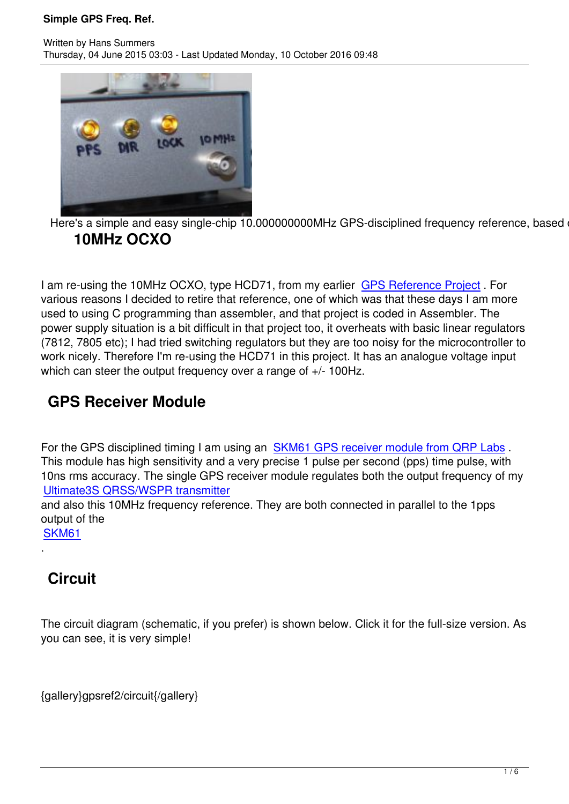

Here's a simple and easy single-chip 10.000000000MHz GPS-disciplined frequency reference, based on **10MHz OCXO**

I am re-using the 10MHz OCXO, type HCD71, from my earlier GPS Reference Project . For various reasons I decided to retire that reference, one of which was that these days I am more used to using C programming than assembler, and that project is coded in Assembler. The power supply situation is a bit difficult in that project too, it over[heats with basic linear re](gpsref)gulators (7812, 7805 etc); I had tried switching regulators but they are too noisy for the microcontroller to work nicely. Therefore I'm re-using the HCD71 in this project. It has an analogue voltage input which can steer the output frequency over a range of  $+/- 100$ Hz.

## **GPS Receiver Module**

For the GPS disciplined timing I am using an SKM61 GPS receiver module from QRP Labs. This module has high sensitivity and a very precise 1 pulse per second (pps) time pulse, with 10ns rms accuracy. The single GPS receiver module regulates both the output frequency of my Ultimate3S QRSS/WSPR transmitter and also this 10MHz frequency reference. Th[ey are both connected in parallel to the 1pps](http://www.qrp-labs.com/ultimate3gps)

output of the [SKM61](u3kit)

.

# **[Circu](http://www.qrp-labs.com/ultimategps3)it**

The circuit diagram (schematic, if you prefer) is shown below. Click it for the full-size version. As you can see, it is very simple!

{gallery}gpsref2/circuit{/gallery}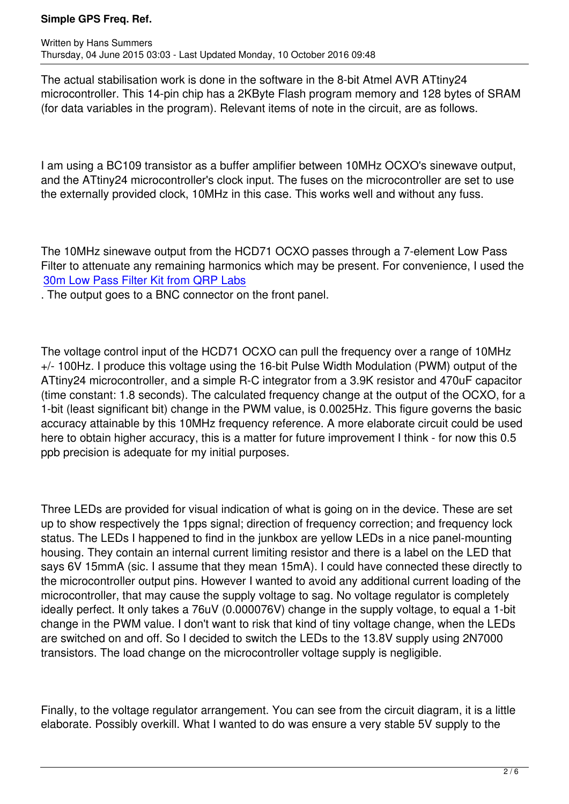The actual stabilisation work is done in the software in the 8-bit Atmel AVR ATtiny24 microcontroller. This 14-pin chip has a 2KByte Flash program memory and 128 bytes of SRAM (for data variables in the program). Relevant items of note in the circuit, are as follows.

I am using a BC109 transistor as a buffer amplifier between 10MHz OCXO's sinewave output, and the ATtiny24 microcontroller's clock input. The fuses on the microcontroller are set to use the externally provided clock, 10MHz in this case. This works well and without any fuss.

The 10MHz sinewave output from the HCD71 OCXO passes through a 7-element Low Pass Filter to attenuate any remaining harmonics which may be present. For convenience, I used the 30m Low Pass Filter Kit from QRP Labs

. The output goes to a BNC connector on the front panel.

The voltage control input of the HCD71 OCXO can pull the frequency over a range of 10MHz +/- 100Hz. I produce this voltage using the 16-bit Pulse Width Modulation (PWM) output of the ATtiny24 microcontroller, and a simple R-C integrator from a 3.9K resistor and 470uF capacitor (time constant: 1.8 seconds). The calculated frequency change at the output of the OCXO, for a 1-bit (least significant bit) change in the PWM value, is 0.0025Hz. This figure governs the basic accuracy attainable by this 10MHz frequency reference. A more elaborate circuit could be used here to obtain higher accuracy, this is a matter for future improvement I think - for now this 0.5 ppb precision is adequate for my initial purposes.

Three LEDs are provided for visual indication of what is going on in the device. These are set up to show respectively the 1pps signal; direction of frequency correction; and frequency lock status. The LEDs I happened to find in the junkbox are yellow LEDs in a nice panel-mounting housing. They contain an internal current limiting resistor and there is a label on the LED that says 6V 15mmA (sic. I assume that they mean 15mA). I could have connected these directly to the microcontroller output pins. However I wanted to avoid any additional current loading of the microcontroller, that may cause the supply voltage to sag. No voltage regulator is completely ideally perfect. It only takes a 76uV (0.000076V) change in the supply voltage, to equal a 1-bit change in the PWM value. I don't want to risk that kind of tiny voltage change, when the LEDs are switched on and off. So I decided to switch the LEDs to the 13.8V supply using 2N7000 transistors. The load change on the microcontroller voltage supply is negligible.

Finally, to the voltage regulator arrangement. You can see from the circuit diagram, it is a little elaborate. Possibly overkill. What I wanted to do was ensure a very stable 5V supply to the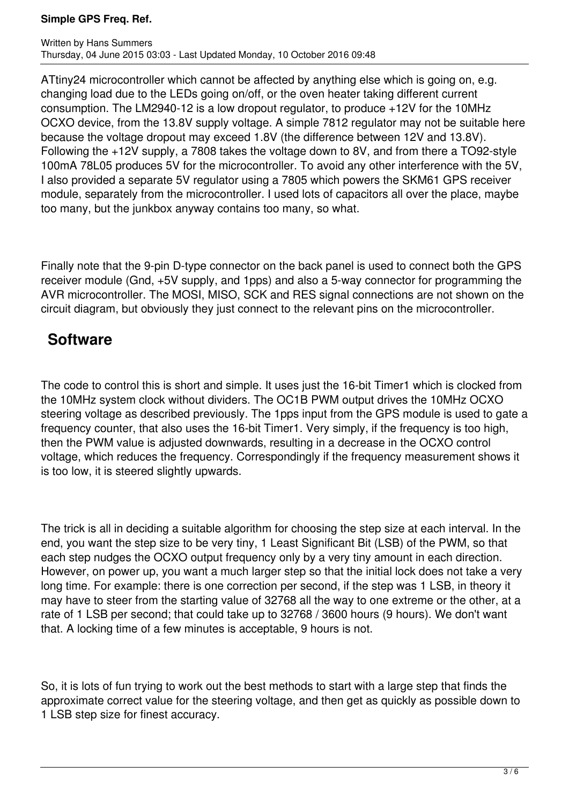#### **Simple GPS Freq. Ref.**

ATtiny24 microcontroller which cannot be affected by anything else which is going on, e.g. changing load due to the LEDs going on/off, or the oven heater taking different current consumption. The LM2940-12 is a low dropout regulator, to produce +12V for the 10MHz OCXO device, from the 13.8V supply voltage. A simple 7812 regulator may not be suitable here because the voltage dropout may exceed 1.8V (the difference between 12V and 13.8V). Following the +12V supply, a 7808 takes the voltage down to 8V, and from there a TO92-style 100mA 78L05 produces 5V for the microcontroller. To avoid any other interference with the 5V, I also provided a separate 5V regulator using a 7805 which powers the SKM61 GPS receiver module, separately from the microcontroller. I used lots of capacitors all over the place, maybe too many, but the junkbox anyway contains too many, so what.

Finally note that the 9-pin D-type connector on the back panel is used to connect both the GPS receiver module (Gnd, +5V supply, and 1pps) and also a 5-way connector for programming the AVR microcontroller. The MOSI, MISO, SCK and RES signal connections are not shown on the circuit diagram, but obviously they just connect to the relevant pins on the microcontroller.

### **Software**

The code to control this is short and simple. It uses just the 16-bit Timer1 which is clocked from the 10MHz system clock without dividers. The OC1B PWM output drives the 10MHz OCXO steering voltage as described previously. The 1pps input from the GPS module is used to gate a frequency counter, that also uses the 16-bit Timer1. Very simply, if the frequency is too high, then the PWM value is adjusted downwards, resulting in a decrease in the OCXO control voltage, which reduces the frequency. Correspondingly if the frequency measurement shows it is too low, it is steered slightly upwards.

The trick is all in deciding a suitable algorithm for choosing the step size at each interval. In the end, you want the step size to be very tiny, 1 Least Significant Bit (LSB) of the PWM, so that each step nudges the OCXO output frequency only by a very tiny amount in each direction. However, on power up, you want a much larger step so that the initial lock does not take a very long time. For example: there is one correction per second, if the step was 1 LSB, in theory it may have to steer from the starting value of 32768 all the way to one extreme or the other, at a rate of 1 LSB per second; that could take up to 32768 / 3600 hours (9 hours). We don't want that. A locking time of a few minutes is acceptable, 9 hours is not.

So, it is lots of fun trying to work out the best methods to start with a large step that finds the approximate correct value for the steering voltage, and then get as quickly as possible down to 1 LSB step size for finest accuracy.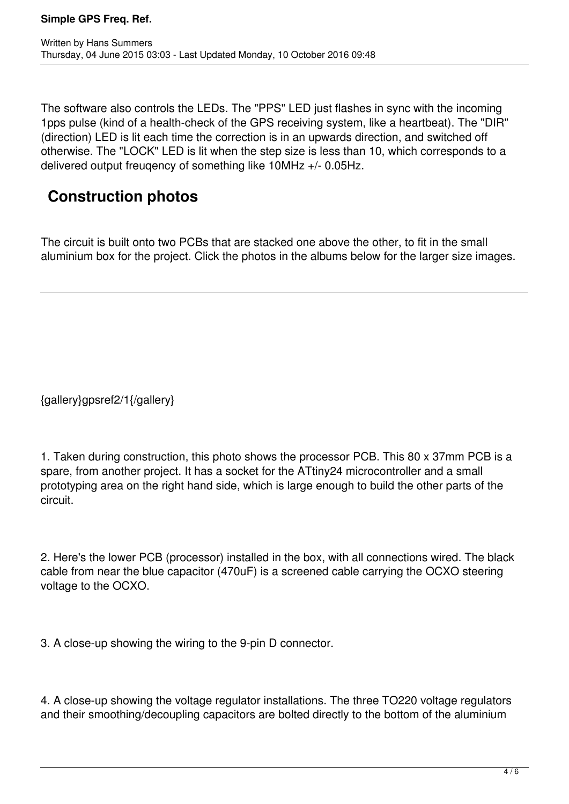The software also controls the LEDs. The "PPS" LED just flashes in sync with the incoming 1pps pulse (kind of a health-check of the GPS receiving system, like a heartbeat). The "DIR" (direction) LED is lit each time the correction is in an upwards direction, and switched off otherwise. The "LOCK" LED is lit when the step size is less than 10, which corresponds to a delivered output freuqency of something like 10MHz +/- 0.05Hz.

# **Construction photos**

The circuit is built onto two PCBs that are stacked one above the other, to fit in the small aluminium box for the project. Click the photos in the albums below for the larger size images.

{gallery}gpsref2/1{/gallery}

1. Taken during construction, this photo shows the processor PCB. This 80 x 37mm PCB is a spare, from another project. It has a socket for the ATtiny24 microcontroller and a small prototyping area on the right hand side, which is large enough to build the other parts of the circuit.

2. Here's the lower PCB (processor) installed in the box, with all connections wired. The black cable from near the blue capacitor (470uF) is a screened cable carrying the OCXO steering voltage to the OCXO.

3. A close-up showing the wiring to the 9-pin D connector.

4. A close-up showing the voltage regulator installations. The three TO220 voltage regulators and their smoothing/decoupling capacitors are bolted directly to the bottom of the aluminium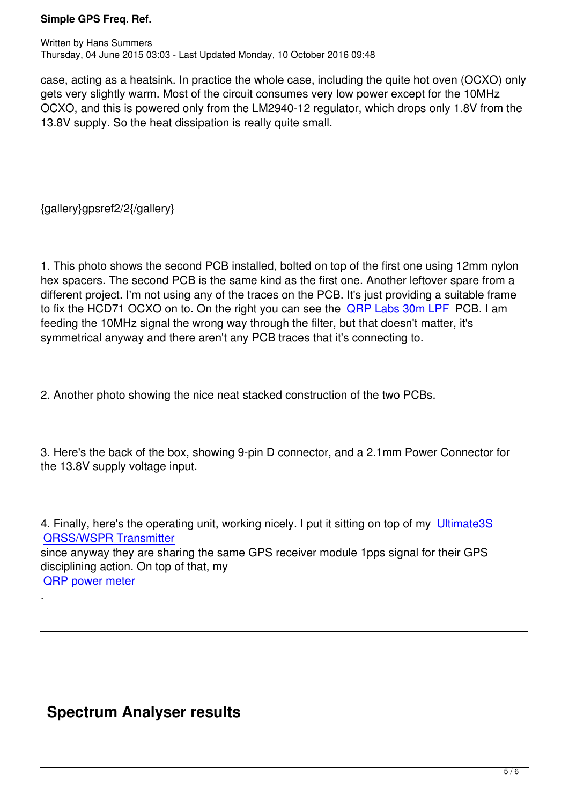case, acting as a heatsink. In practice the whole case, including the quite hot oven (OCXO) only gets very slightly warm. Most of the circuit consumes very low power except for the 10MHz OCXO, and this is powered only from the LM2940-12 regulator, which drops only 1.8V from the 13.8V supply. So the heat dissipation is really quite small.

{gallery}gpsref2/2{/gallery}

1. This photo shows the second PCB installed, bolted on top of the first one using 12mm nylon hex spacers. The second PCB is the same kind as the first one. Another leftover spare from a different project. I'm not using any of the traces on the PCB. It's just providing a suitable frame to fix the HCD71 OCXO on to. On the right you can see the **QRP Labs 30m LPF PCB.** I am feeding the 10MHz signal the wrong way through the filter, but that doesn't matter, it's symmetrical anyway and there aren't any PCB traces that it's connecting to.

2. Another photo showing the nice neat stacked construction of the two PCBs.

3. Here's the back of the box, showing 9-pin D connector, and a 2.1mm Power Connector for the 13.8V supply voltage input.

4. Finally, here's the operating unit, working nicely. I put it sitting on top of my Ultimate3S QRSS/WSPR Transmitter since anyway they are sharing the same GPS receiver module 1pps signal for their GPS disciplining action. On top of that, my [QRP power meter](u3kit) .

# **Spectrum Analyser results**